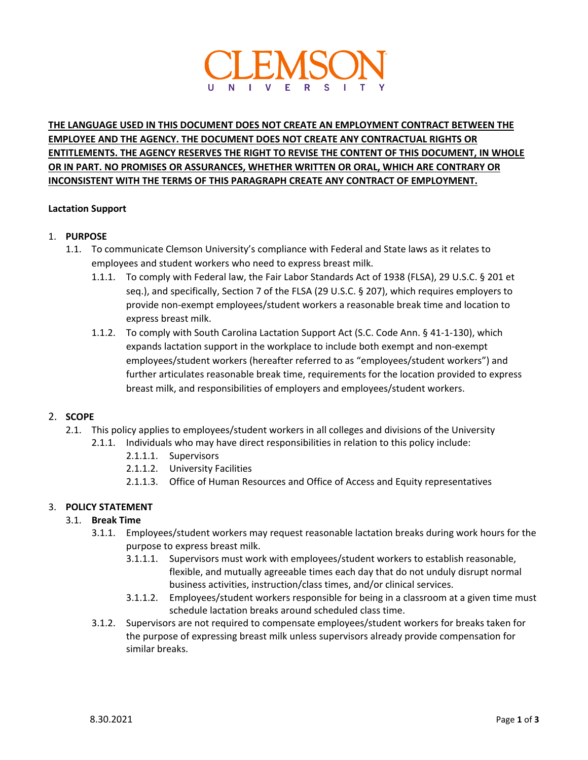

# **THE LANGUAGE USED IN THIS DOCUMENT DOES NOT CREATE AN EMPLOYMENT CONTRACT BETWEEN THE EMPLOYEE AND THE AGENCY. THE DOCUMENT DOES NOT CREATE ANY CONTRACTUAL RIGHTS OR ENTITLEMENTS. THE AGENCY RESERVES THE RIGHT TO REVISE THE CONTENT OF THIS DOCUMENT, IN WHOLE OR IN PART. NO PROMISES OR ASSURANCES, WHETHER WRITTEN OR ORAL, WHICH ARE CONTRARY OR INCONSISTENT WITH THE TERMS OF THIS PARAGRAPH CREATE ANY CONTRACT OF EMPLOYMENT.**

#### **Lactation Support**

#### 1. **PURPOSE**

- 1.1. To communicate Clemson University's compliance with Federal and State laws as it relates to employees and student workers who need to express breast milk.
	- 1.1.1. To comply with Federal law, the Fair Labor Standards Act of 1938 (FLSA), 29 U.S.C. § 201 et seq.), and specifically, Section 7 of the FLSA (29 U.S.C. § 207), which requires employers to provide non-exempt employees/student workers a reasonable break time and location to express breast milk.
	- 1.1.2. To comply with South Carolina Lactation Support Act (S.C. Code Ann. § 41-1-130), which expands lactation support in the workplace to include both exempt and non-exempt employees/student workers (hereafter referred to as "employees/student workers") and further articulates reasonable break time, requirements for the location provided to express breast milk, and responsibilities of employers and employees/student workers.

# 2. **SCOPE**

- 2.1. This policy applies to employees/student workers in all colleges and divisions of the University
	- 2.1.1. Individuals who may have direct responsibilities in relation to this policy include:
		- 2.1.1.1. Supervisors
		- 2.1.1.2. University Facilities
		- 2.1.1.3. Office of Human Resources and Office of Access and Equity representatives

### 3. **POLICY STATEMENT**

### 3.1. **Break Time**

- 3.1.1. Employees/student workers may request reasonable lactation breaks during work hours for the purpose to express breast milk.
	- 3.1.1.1. Supervisors must work with employees/student workers to establish reasonable, flexible, and mutually agreeable times each day that do not unduly disrupt normal business activities, instruction/class times, and/or clinical services.
	- 3.1.1.2. Employees/student workers responsible for being in a classroom at a given time must schedule lactation breaks around scheduled class time.
- 3.1.2. Supervisors are not required to compensate employees/student workers for breaks taken for the purpose of expressing breast milk unless supervisors already provide compensation for similar breaks.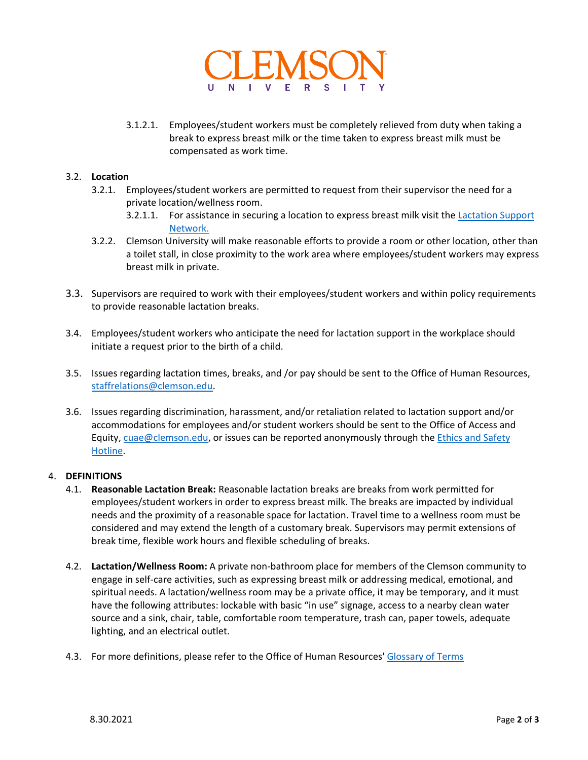

3.1.2.1. Employees/student workers must be completely relieved from duty when taking a break to express breast milk or the time taken to express breast milk must be compensated as work time.

# 3.2. **Location**

- 3.2.1. Employees/student workers are permitted to request from their supervisor the need for a private location/wellness room.
	- 3.2.1.1. For assistance in securing a location to express breast milk visit the **Lactation Support** [Network.](https://www.clemson.edu/campus-life/lactation-network/index.html)
- 3.2.2. Clemson University will make reasonable efforts to provide a room or other location, other than a toilet stall, in close proximity to the work area where employees/student workers may express breast milk in private.
- 3.3. Supervisors are required to work with their employees/student workers and within policy requirements to provide reasonable lactation breaks.
- 3.4. Employees/student workers who anticipate the need for lactation support in the workplace should initiate a request prior to the birth of a child.
- 3.5. Issues regarding lactation times, breaks, and /or pay should be sent to the Office of Human Resources, [staffrelations@clemson.edu.](mailto:staffrelations@clemson.edu)
- 3.6. Issues regarding discrimination, harassment, and/or retaliation related to lactation support and/or accommodations for employees and/or student workers should be sent to the Office of Access and Equity[, cuae@clemson.edu,](mailto:cuae@clemson.edu) or issues can be reported anonymously through the Ethics and Safety [Hotline.](https://www.clemson.edu/administration/internalaudit/ethicsline.html#:%7E:text=Every%20employee%20and%20member%20of,or%20by%20visiting%20the%20website.)

#### 4. **DEFINITIONS**

- 4.1. **Reasonable Lactation Break:** Reasonable lactation breaks are breaks from work permitted for employees/student workers in order to express breast milk. The breaks are impacted by individual needs and the proximity of a reasonable space for lactation. Travel time to a wellness room must be considered and may extend the length of a customary break. Supervisors may permit extensions of break time, flexible work hours and flexible scheduling of breaks.
- 4.2. **Lactation/Wellness Room:** A private non-bathroom place for members of the Clemson community to engage in self-care activities, such as expressing breast milk or addressing medical, emotional, and spiritual needs. A lactation/wellness room may be a private office, it may be temporary, and it must have the following attributes: lockable with basic "in use" signage, access to a nearby clean water source and a sink, chair, table, comfortable room temperature, trash can, paper towels, adequate lighting, and an electrical outlet.
- 4.3. For more definitions, please refer to the Office of Human Resources' [Glossary of Terms](https://hr.app.clemson.edu/poly-proc/Glossary_of_Terms.pdf)